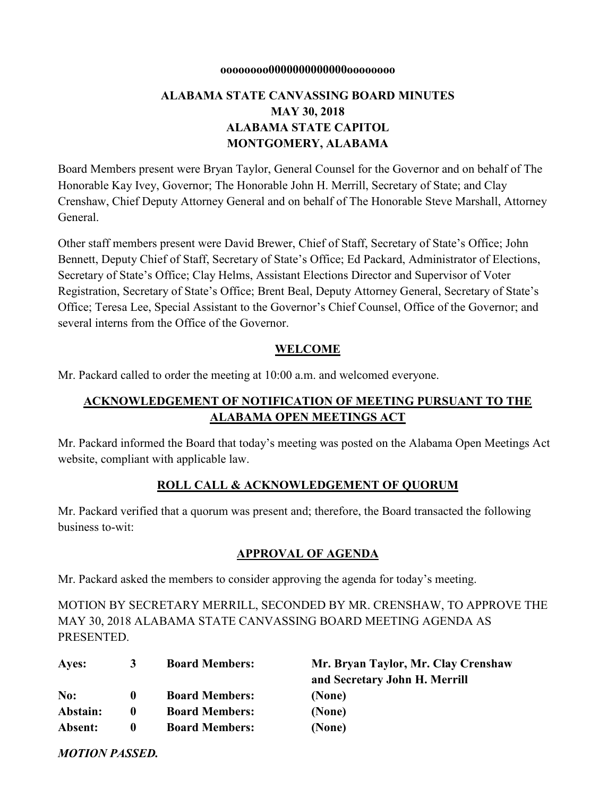#### **oooooooo0000000000000oooooooo**

# **ALABAMA STATE CANVASSING BOARD MINUTES MAY 30, 2018 ALABAMA STATE CAPITOL MONTGOMERY, ALABAMA**

Board Members present were Bryan Taylor, General Counsel for the Governor and on behalf of The Honorable Kay Ivey, Governor; The Honorable John H. Merrill, Secretary of State; and Clay Crenshaw, Chief Deputy Attorney General and on behalf of The Honorable Steve Marshall, Attorney General.

Other staff members present were David Brewer, Chief of Staff, Secretary of State's Office; John Bennett, Deputy Chief of Staff, Secretary of State's Office; Ed Packard, Administrator of Elections, Secretary of State's Office; Clay Helms, Assistant Elections Director and Supervisor of Voter Registration, Secretary of State's Office; Brent Beal, Deputy Attorney General, Secretary of State's Office; Teresa Lee, Special Assistant to the Governor's Chief Counsel, Office of the Governor; and several interns from the Office of the Governor.

#### **WELCOME**

Mr. Packard called to order the meeting at 10:00 a.m. and welcomed everyone.

# **ACKNOWLEDGEMENT OF NOTIFICATION OF MEETING PURSUANT TO THE ALABAMA OPEN MEETINGS ACT**

Mr. Packard informed the Board that today's meeting was posted on the Alabama Open Meetings Act website, compliant with applicable law.

#### **ROLL CALL & ACKNOWLEDGEMENT OF QUORUM**

Mr. Packard verified that a quorum was present and; therefore, the Board transacted the following business to-wit:

#### **APPROVAL OF AGENDA**

Mr. Packard asked the members to consider approving the agenda for today's meeting.

MOTION BY SECRETARY MERRILL, SECONDED BY MR. CRENSHAW, TO APPROVE THE MAY 30, 2018 ALABAMA STATE CANVASSING BOARD MEETING AGENDA AS PRESENTED.

| Ayes:    | 3            | <b>Board Members:</b> | Mr. Bryan Taylor, Mr. Clay Crenshaw<br>and Secretary John H. Merrill |
|----------|--------------|-----------------------|----------------------------------------------------------------------|
| No:      | $\mathbf{0}$ | <b>Board Members:</b> | (None)                                                               |
| Abstain: | $\mathbf 0$  | <b>Board Members:</b> | (None)                                                               |
| Absent:  | $\mathbf 0$  | <b>Board Members:</b> | (None)                                                               |

*MOTION PASSED.*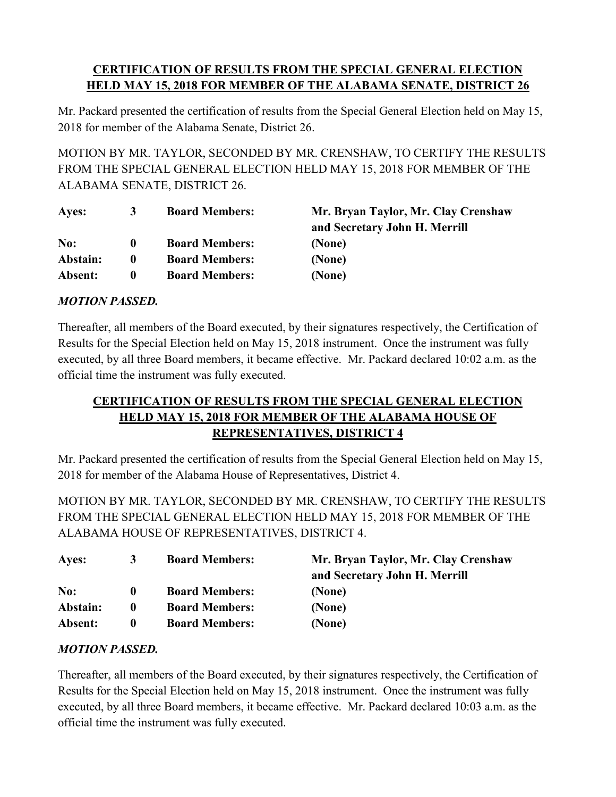# **CERTIFICATION OF RESULTS FROM THE SPECIAL GENERAL ELECTION HELD MAY 15, 2018 FOR MEMBER OF THE ALABAMA SENATE, DISTRICT 26**

Mr. Packard presented the certification of results from the Special General Election held on May 15, 2018 for member of the Alabama Senate, District 26.

MOTION BY MR. TAYLOR, SECONDED BY MR. CRENSHAW, TO CERTIFY THE RESULTS FROM THE SPECIAL GENERAL ELECTION HELD MAY 15, 2018 FOR MEMBER OF THE ALABAMA SENATE, DISTRICT 26.

| Ayes:    | 3            | <b>Board Members:</b> | Mr. Bryan Taylor, Mr. Clay Crenshaw |
|----------|--------------|-----------------------|-------------------------------------|
|          |              |                       | and Secretary John H. Merrill       |
| No:      | O            | <b>Board Members:</b> | (None)                              |
| Abstain: | $\mathbf{0}$ | <b>Board Members:</b> | (None)                              |
| Absent:  | 0            | <b>Board Members:</b> | (None)                              |

# *MOTION PASSED.*

Thereafter, all members of the Board executed, by their signatures respectively, the Certification of Results for the Special Election held on May 15, 2018 instrument. Once the instrument was fully executed, by all three Board members, it became effective. Mr. Packard declared 10:02 a.m. as the official time the instrument was fully executed.

# **CERTIFICATION OF RESULTS FROM THE SPECIAL GENERAL ELECTION HELD MAY 15, 2018 FOR MEMBER OF THE ALABAMA HOUSE OF REPRESENTATIVES, DISTRICT 4**

Mr. Packard presented the certification of results from the Special General Election held on May 15, 2018 for member of the Alabama House of Representatives, District 4.

MOTION BY MR. TAYLOR, SECONDED BY MR. CRENSHAW, TO CERTIFY THE RESULTS FROM THE SPECIAL GENERAL ELECTION HELD MAY 15, 2018 FOR MEMBER OF THE ALABAMA HOUSE OF REPRESENTATIVES, DISTRICT 4.

| Ayes:    | 3            | <b>Board Members:</b> | Mr. Bryan Taylor, Mr. Clay Crenshaw<br>and Secretary John H. Merrill |
|----------|--------------|-----------------------|----------------------------------------------------------------------|
| No:      | $\mathbf{0}$ | <b>Board Members:</b> | (None)                                                               |
| Abstain: | $\bf{0}$     | <b>Board Members:</b> | (None)                                                               |
| Absent:  | $\mathbf{0}$ | <b>Board Members:</b> | (None)                                                               |

### *MOTION PASSED.*

Thereafter, all members of the Board executed, by their signatures respectively, the Certification of Results for the Special Election held on May 15, 2018 instrument. Once the instrument was fully executed, by all three Board members, it became effective. Mr. Packard declared 10:03 a.m. as the official time the instrument was fully executed.